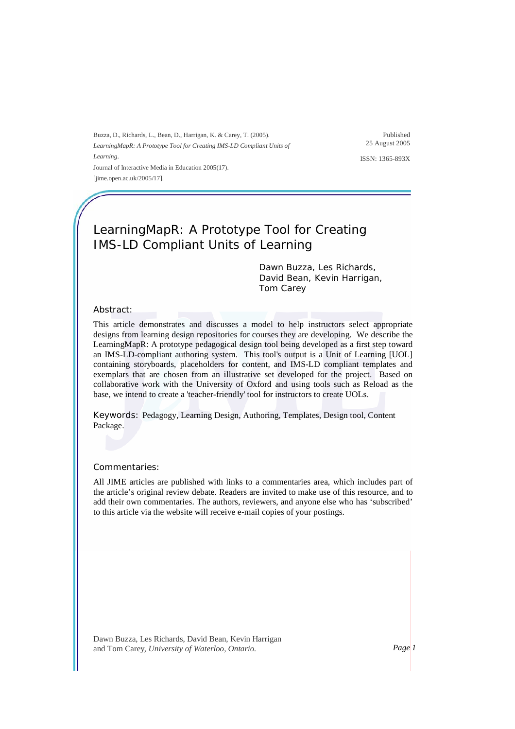Buzza, D., Richards, L., Bean, D., Harrigan, K. & Carey, T. (2005). *LearningMapR: A Prototype Tool for Creating IMS-LD Compliant Units of Learning*. Journal of Interactive Media in Education 2005(17). [jime.open.ac.uk/2005/17].

Published 25 August 2005

ISSN: 1365-893X

# LearningMapR: A Prototype Tool for Creating IMS-LD Compliant Units of Learning

Dawn Buzza, Les Richards, David Bean, Kevin Harrigan, Tom Carey

#### Abstract:

This article demonstrates and discusses a model to help instructors select appropriate designs from learning design repositories for courses they are developing. We describe the LearningMapR: A prototype pedagogical design tool being developed as a first step toward an IMS-LD-compliant authoring system. This tool's output is a Unit of Learning [UOL] containing storyboards, placeholders for content, and IMS-LD compliant templates and exemplars that are chosen from an illustrative set developed for the project. Based on collaborative work with the University of Oxford and using tools such as Reload as the base, we intend to create a 'teacher-friendly' tool for instructors to create UOLs.

Keywords: Pedagogy, Learning Design, Authoring, Templates, Design tool, Content Package.

#### Commentaries:

All JIME articles are published with links to a commentaries area, which includes part of the article's original review debate. Readers are invited to make use of this resource, and to add their own commentaries. The authors, reviewers, and anyone else who has 'subscribed' to this article via the website will receive e-mail copies of your postings.

Dawn Buzza, Les Richards, David Bean, Kevin Harrigan and Tom Carey*, University of Waterloo, Ontario. Page 1*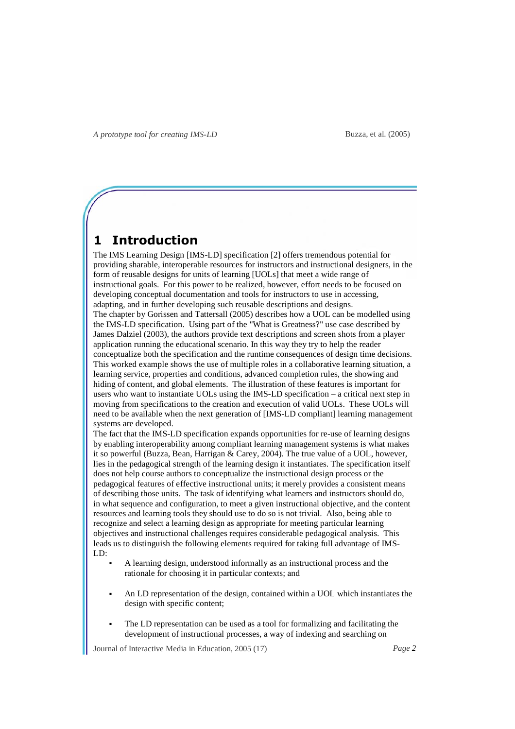## **1 Introduction**

The IMS Learning Design [IMS-LD] specification [2] offers tremendous potential for providing sharable, interoperable resources for instructors and instructional designers, in the form of reusable designs for units of learning [UOLs] that meet a wide range of instructional goals. For this power to be realized, however, effort needs to be focused on developing conceptual documentation and tools for instructors to use in accessing, adapting, and in further developing such reusable descriptions and designs. The chapter by Gorissen and Tattersall (2005) describes how a UOL can be modelled using the IMS-LD specification. Using part of the "What is Greatness?" use case described by James Dalziel (2003), the authors provide text descriptions and screen shots from a player application running the educational scenario. In this way they try to help the reader conceptualize both the specification and the runtime consequences of design time decisions. This worked example shows the use of multiple roles in a collaborative learning situation, a learning service, properties and conditions, advanced completion rules, the showing and hiding of content, and global elements. The illustration of these features is important for users who want to instantiate UOLs using the IMS-LD specification – a critical next step in moving from specifications to the creation and execution of valid UOLs. These UOLs will need to be available when the next generation of [IMS-LD compliant] learning management systems are developed.

The fact that the IMS-LD specification expands opportunities for re-use of learning designs by enabling interoperability among compliant learning management systems is what makes it so powerful (Buzza, Bean, Harrigan & Carey, 2004). The true value of a UOL, however, lies in the pedagogical strength of the learning design it instantiates. The specification itself does not help course authors to conceptualize the instructional design process or the pedagogical features of effective instructional units; it merely provides a consistent means of describing those units. The task of identifying what learners and instructors should do, in what sequence and configuration, to meet a given instructional objective, and the content resources and learning tools they should use to do so is not trivial. Also, being able to recognize and select a learning design as appropriate for meeting particular learning objectives and instructional challenges requires considerable pedagogical analysis. This leads us to distinguish the following elements required for taking full advantage of IMS-LD:

- A learning design, understood informally as an instructional process and the rationale for choosing it in particular contexts; and
- An LD representation of the design, contained within a UOL which instantiates the design with specific content;
- The LD representation can be used as a tool for formalizing and facilitating the development of instructional processes, a way of indexing and searching on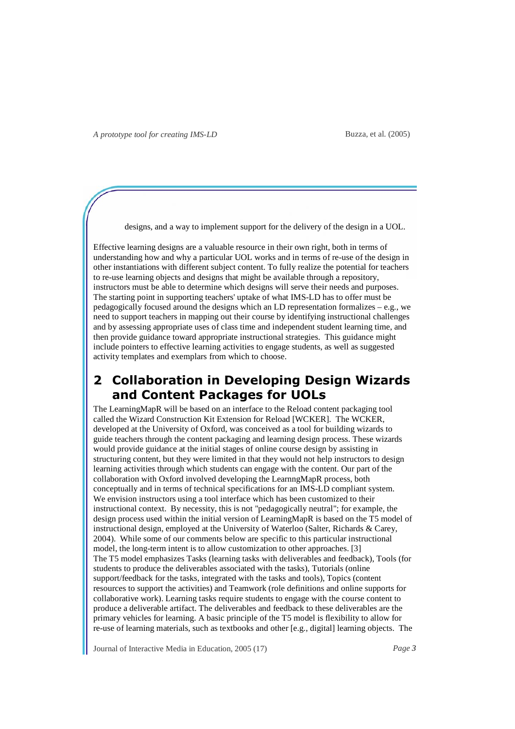designs, and a way to implement support for the delivery of the design in a UOL.

Effective learning designs are a valuable resource in their own right, both in terms of understanding how and why a particular UOL works and in terms of re-use of the design in other instantiations with different subject content. To fully realize the potential for teachers to re-use learning objects and designs that might be available through a repository, instructors must be able to determine which designs will serve their needs and purposes. The starting point in supporting teachers' uptake of what IMS-LD has to offer must be pedagogically focused around the designs which an LD representation formalizes – e.g., we need to support teachers in mapping out their course by identifying instructional challenges and by assessing appropriate uses of class time and independent student learning time, and then provide guidance toward appropriate instructional strategies. This guidance might include pointers to effective learning activities to engage students, as well as suggested activity templates and exemplars from which to choose.

## **2 Collaboration in Developing Design Wizards and Content Packages for UOLs**

The LearningMapR will be based on an interface to the Reload content packaging tool called the Wizard Construction Kit Extension for Reload [WCKER]. The WCKER, developed at the University of Oxford, was conceived as a tool for building wizards to guide teachers through the content packaging and learning design process. These wizards would provide guidance at the initial stages of online course design by assisting in structuring content, but they were limited in that they would not help instructors to design learning activities through which students can engage with the content. Our part of the collaboration with Oxford involved developing the LearnngMapR process, both conceptually and in terms of technical specifications for an IMS-LD compliant system. We envision instructors using a tool interface which has been customized to their instructional context. By necessity, this is not "pedagogically neutral"; for example, the design process used within the initial version of LearningMapR is based on the T5 model of instructional design, employed at the University of Waterloo (Salter, Richards & Carey, 2004). While some of our comments below are specific to this particular instructional model, the long-term intent is to allow customization to other approaches. [3] The T5 model emphasizes Tasks (learning tasks with deliverables and feedback), Tools (for students to produce the deliverables associated with the tasks), Tutorials (online support/feedback for the tasks, integrated with the tasks and tools), Topics (content resources to support the activities) and Teamwork (role definitions and online supports for collaborative work). Learning tasks require students to engage with the course content to produce a deliverable artifact. The deliverables and feedback to these deliverables are the primary vehicles for learning. A basic principle of the T5 model is flexibility to allow for re-use of learning materials, such as textbooks and other [e.g., digital] learning objects. The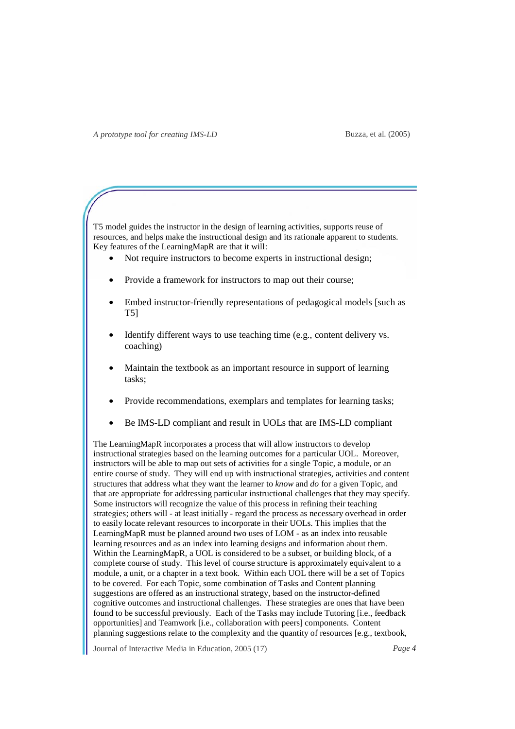T5 model guides the instructor in the design of learning activities, supports reuse of resources, and helps make the instructional design and its rationale apparent to students. Key features of the LearningMapR are that it will:

- Not require instructors to become experts in instructional design;
- Provide a framework for instructors to map out their course;
- Embed instructor-friendly representations of pedagogical models [such as T5]
- Identify different ways to use teaching time (e.g., content delivery vs. coaching)
- Maintain the textbook as an important resource in support of learning tasks;
- Provide recommendations, exemplars and templates for learning tasks;
- Be IMS-LD compliant and result in UOLs that are IMS-LD compliant

The LearningMapR incorporates a process that will allow instructors to develop instructional strategies based on the learning outcomes for a particular UOL. Moreover, instructors will be able to map out sets of activities for a single Topic, a module, or an entire course of study. They will end up with instructional strategies, activities and content structures that address what they want the learner to *know* and *do* for a given Topic, and that are appropriate for addressing particular instructional challenges that they may specify. Some instructors will recognize the value of this process in refining their teaching strategies; others will - at least initially - regard the process as necessary overhead in order to easily locate relevant resources to incorporate in their UOLs. This implies that the LearningMapR must be planned around two uses of LOM - as an index into reusable learning resources and as an index into learning designs and information about them. Within the LearningMapR, a UOL is considered to be a subset, or building block, of a complete course of study. This level of course structure is approximately equivalent to a module, a unit, or a chapter in a text book. Within each UOL there will be a set of Topics to be covered. For each Topic, some combination of Tasks and Content planning suggestions are offered as an instructional strategy, based on the instructor-defined cognitive outcomes and instructional challenges. These strategies are ones that have been found to be successful previously. Each of the Tasks may include Tutoring [i.e., feedback opportunities] and Teamwork [i.e., collaboration with peers] components. Content planning suggestions relate to the complexity and the quantity of resources [e.g., textbook,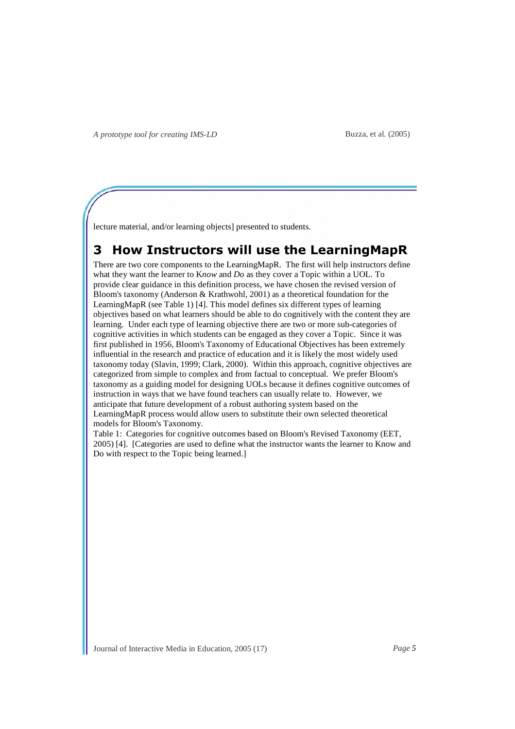Buzza, et al. (2005)

lecture material, and/or learning objects] presented to students.

# **3 How Instructors will use the LearningMapR**

There are two core components to the LearningMapR. The first will help instructors define what they want the learner to K*now* and *Do* as they cover a Topic within a UOL. To provide clear guidance in this definition process, we have chosen the revised version of Bloom's taxonomy (Anderson & Krathwohl, 2001) as a theoretical foundation for the LearningMapR (see Table 1) [4]. This model defines six different types of learning objectives based on what learners should be able to do cognitively with the content they are learning. Under each type of learning objective there are two or more sub-categories of cognitive activities in which students can be engaged as they cover a Topic. Since it was first published in 1956, Bloom's Taxonomy of Educational Objectives has been extremely influential in the research and practice of education and it is likely the most widely used taxonomy today (Slavin, 1999; Clark, 2000). Within this approach, cognitive objectives are categorized from simple to complex and from factual to conceptual. We prefer Bloom's taxonomy as a guiding model for designing UOLs because it defines cognitive outcomes of instruction in ways that we have found teachers can usually relate to. However, we anticipate that future development of a robust authoring system based on the LearningMapR process would allow users to substitute their own selected theoretical models for Bloom's Taxonomy.

Table 1: Categories for cognitive outcomes based on Bloom's Revised Taxonomy (EET, 2005) [4]. [Categories are used to define what the instructor wants the learner to Know and Do with respect to the Topic being learned.]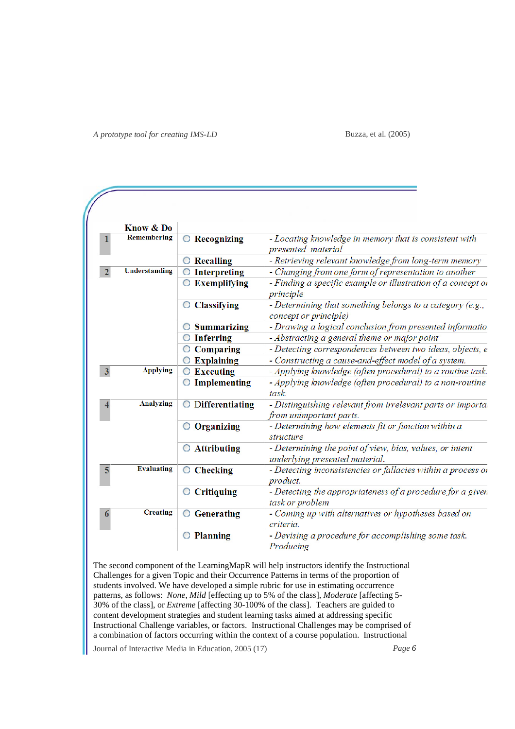Buzza, et al. (2005)

|                         | Know & Do            |                          |                                                                                            |  |  |
|-------------------------|----------------------|--------------------------|--------------------------------------------------------------------------------------------|--|--|
|                         | <b>Remembering</b>   | C Recognizing            | - Locating knowledge in memory that is consistent with<br>presented material               |  |  |
|                         |                      | <b>Recalling</b>         | - Retrieving relevant knowledge from long-term memory                                      |  |  |
|                         | <b>Understanding</b> | <b>Interpreting</b>      | - Changing from one form of representation to another                                      |  |  |
|                         |                      | <b>Exemplifying</b><br>O | - Finding a specific example or illustration of a concept of<br>principle                  |  |  |
|                         |                      | <b>Classifying</b><br>O  | - Determining that something belongs to a category (e.g.,<br>concept or principle)         |  |  |
|                         |                      | <b>Summarizing</b>       | - Drawing a logical conclusion from presented informatio.                                  |  |  |
|                         |                      | <b>Inferring</b>         | - Abstracting a general theme or major point                                               |  |  |
|                         |                      | <b>Comparing</b><br>O    | - Detecting correspondences between two ideas, objects, e                                  |  |  |
|                         |                      | <b>Explaining</b>        | - Constructing a cause-and-effect model of a system.                                       |  |  |
| $\overline{\mathbf{3}}$ | <b>Applying</b>      | <b>Executing</b><br>O    | - Applying knowledge (often procedural) to a routine task.                                 |  |  |
|                         |                      | Implementing             | - Applying knowledge (often procedural) to a non-routine<br>task.                          |  |  |
|                         | <b>Analyzing</b>     | Differentiating<br>O     | - Distinguishing relevant from irrelevant parts or importal<br>from unimportant parts.     |  |  |
|                         |                      | Organizing<br>O          | - Determining how elements fit or function within a<br>structure                           |  |  |
|                         |                      | $\bigcirc$ Attributing   | - Determining the point of view, bias, values, or intent<br>underlying presented material. |  |  |
| 5                       | <b>Evaluating</b>    | <b>Checking</b><br>O     | - Detecting inconsistencies or fallacies within a process or<br>product.                   |  |  |
|                         |                      | <b>Critiquing</b><br>O   | - Detecting the appropriateness of a procedure for a given<br>task or problem              |  |  |
| 6                       | <b>Creating</b>      | <b>Generating</b>        | - Coming up with alternatives or hypotheses based on<br>criteria.                          |  |  |
|                         |                      | <b>Planning</b><br>O     | - Devising a procedure for accomplishing some task.<br>Producing                           |  |  |

The second component of the LearningMapR will help instructors identify the Instructional Challenges for a given Topic and their Occurrence Patterns in terms of the proportion of students involved. We have developed a simple rubric for use in estimating occurrence patterns, as follows: *None*, *Mild* [effecting up to 5% of the class], *Moderate* [affecting 5- 30% of the class], or *Extreme* [affecting 30-100% of the class]. Teachers are guided to content development strategies and student learning tasks aimed at addressing specific Instructional Challenge variables, or factors. Instructional Challenges may be comprised of a combination of factors occurring within the context of a course population. Instructional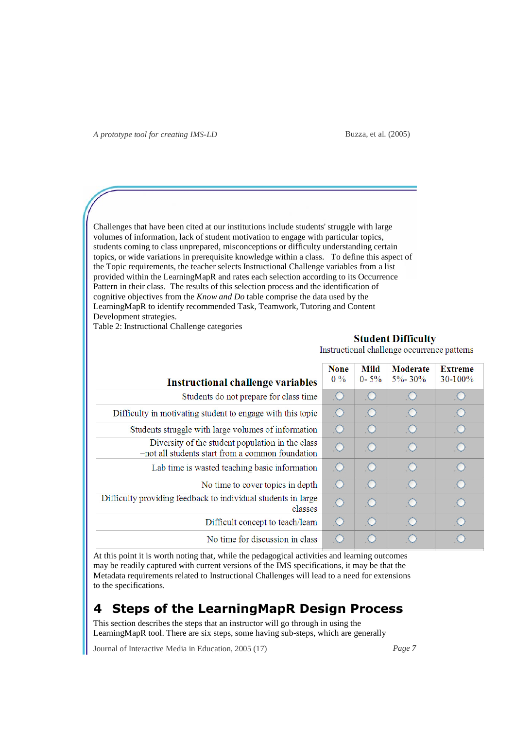Buzza, et al. (2005)

Challenges that have been cited at our institutions include students' struggle with large volumes of information, lack of student motivation to engage with particular topics, students coming to class unprepared, misconceptions or difficulty understanding certain topics, or wide variations in prerequisite knowledge within a class. To define this aspect of the Topic requirements, the teacher selects Instructional Challenge variables from a list provided within the LearningMapR and rates each selection according to its Occurrence Pattern in their class. The results of this selection process and the identification of cognitive objectives from the *Know and Do* table comprise the data used by the LearningMapR to identify recommended Task, Teamwork, Tutoring and Content Development strategies.

Table 2: Instructional Challenge categories

### **Student Difficulty**

Instructional challenge occurrence patterns

| <b>Instructional challenge variables</b>                                                             | <b>None</b><br>$0\%$ | Mild<br>$0 - 5\%$ | <b>Moderate</b><br>$5\% - 30\%$ | <b>Extreme</b><br>$30-100%$ |
|------------------------------------------------------------------------------------------------------|----------------------|-------------------|---------------------------------|-----------------------------|
| Students do not prepare for class time                                                               | ○                    | $\circ$           |                                 | .O                          |
| Difficulty in motivating student to engage with this topic                                           |                      | O                 |                                 | O                           |
| Students struggle with large volumes of information                                                  |                      | $\circ$           | $\circ$                         | $\circ$                     |
| Diversity of the student population in the class<br>-not all students start from a common foundation |                      | $\circ$           |                                 | $\circ$                     |
| Lab time is wasted teaching basic information                                                        | O                    | $\circ$           |                                 | $\circ$                     |
| No time to cover topics in depth                                                                     | $\circ$              | $\circ$           | $\circ$                         | $\circ$                     |
| Difficulty providing feedback to individual students in large<br>classes                             |                      | $\circ$           |                                 | Ю                           |
| Difficult concept to teach/learn                                                                     | $\circ$              | $\circ$           |                                 | $\circ$                     |
| No time for discussion in class                                                                      |                      | $\circ$           |                                 |                             |

At this point it is worth noting that, while the pedagogical activities and learning outcomes may be readily captured with current versions of the IMS specifications, it may be that the Metadata requirements related to Instructional Challenges will lead to a need for extensions to the specifications.

# **4 Steps of the LearningMapR Design Process**

This section describes the steps that an instructor will go through in using the LearningMapR tool. There are six steps, some having sub-steps, which are generally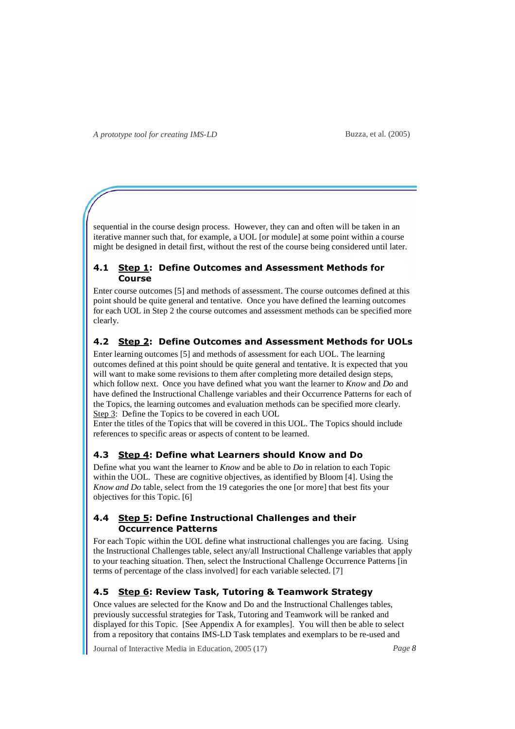sequential in the course design process. However, they can and often will be taken in an iterative manner such that, for example, a UOL [or module] at some point within a course might be designed in detail first, without the rest of the course being considered until later.

### **4.1 Step 1: Define Outcomes and Assessment Methods for Course**

Enter course outcomes [5] and methods of assessment. The course outcomes defined at this point should be quite general and tentative. Once you have defined the learning outcomes for each UOL in Step 2 the course outcomes and assessment methods can be specified more clearly.

### **4.2 Step 2: Define Outcomes and Assessment Methods for UOLs**

Enter learning outcomes [5] and methods of assessment for each UOL. The learning outcomes defined at this point should be quite general and tentative. It is expected that you will want to make some revisions to them after completing more detailed design steps, which follow next. Once you have defined what you want the learner to *Know* and *Do* and have defined the Instructional Challenge variables and their Occurrence Patterns for each of the Topics, the learning outcomes and evaluation methods can be specified more clearly. Step 3: Define the Topics to be covered in each UOL

Enter the titles of the Topics that will be covered in this UOL. The Topics should include references to specific areas or aspects of content to be learned.

#### **4.3 Step 4: Define what Learners should Know and Do**

Define what you want the learner to *Know* and be able to *Do* in relation to each Topic within the UOL. These are cognitive objectives, as identified by Bloom [4]. Using the *Know and Do* table, select from the 19 categories the one [or more] that best fits your objectives for this Topic. [6]

### **4.4 Step 5: Define Instructional Challenges and their Occurrence Patterns**

For each Topic within the UOL define what instructional challenges you are facing. Using the Instructional Challenges table, select any/all Instructional Challenge variables that apply to your teaching situation. Then, select the Instructional Challenge Occurrence Patterns [in terms of percentage of the class involved] for each variable selected. [7]

### **4.5 Step 6: Review Task, Tutoring & Teamwork Strategy**

Once values are selected for the Know and Do and the Instructional Challenges tables, previously successful strategies for Task, Tutoring and Teamwork will be ranked and displayed for this Topic. [See Appendix A for examples]. You will then be able to select from a repository that contains IMS-LD Task templates and exemplars to be re-used and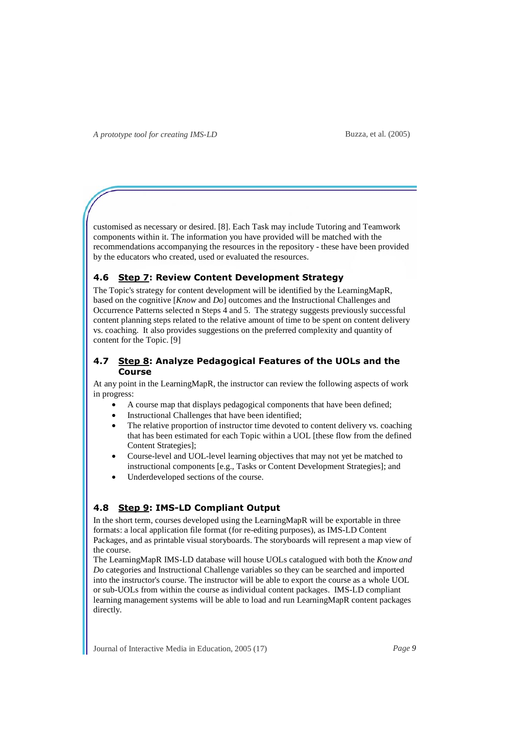customised as necessary or desired. [8]. Each Task may include Tutoring and Teamwork components within it. The information you have provided will be matched with the recommendations accompanying the resources in the repository - these have been provided by the educators who created, used or evaluated the resources.

### **4.6 Step 7: Review Content Development Strategy**

The Topic's strategy for content development will be identified by the LearningMapR, based on the cognitive [*Know* and *Do*] outcomes and the Instructional Challenges and Occurrence Patterns selected n Steps 4 and 5. The strategy suggests previously successful content planning steps related to the relative amount of time to be spent on content delivery vs. coaching. It also provides suggestions on the preferred complexity and quantity of content for the Topic. [9]

### **4.7 Step 8: Analyze Pedagogical Features of the UOLs and the Course**

At any point in the LearningMapR, the instructor can review the following aspects of work in progress:

- A course map that displays pedagogical components that have been defined;
- Instructional Challenges that have been identified;
- The relative proportion of instructor time devoted to content delivery vs. coaching that has been estimated for each Topic within a UOL [these flow from the defined Content Strategies];
- Course-level and UOL-level learning objectives that may not yet be matched to instructional components [e.g., Tasks or Content Development Strategies]; and
- Underdeveloped sections of the course.

### **4.8 Step 9: IMS-LD Compliant Output**

In the short term, courses developed using the LearningMapR will be exportable in three formats: a local application file format (for re-editing purposes), as IMS-LD Content Packages, and as printable visual storyboards. The storyboards will represent a map view of the course.

The LearningMapR IMS-LD database will house UOLs catalogued with both the *Know and Do* categories and Instructional Challenge variables so they can be searched and imported into the instructor's course. The instructor will be able to export the course as a whole UOL or sub-UOLs from within the course as individual content packages. IMS-LD compliant learning management systems will be able to load and run LearningMapR content packages directly.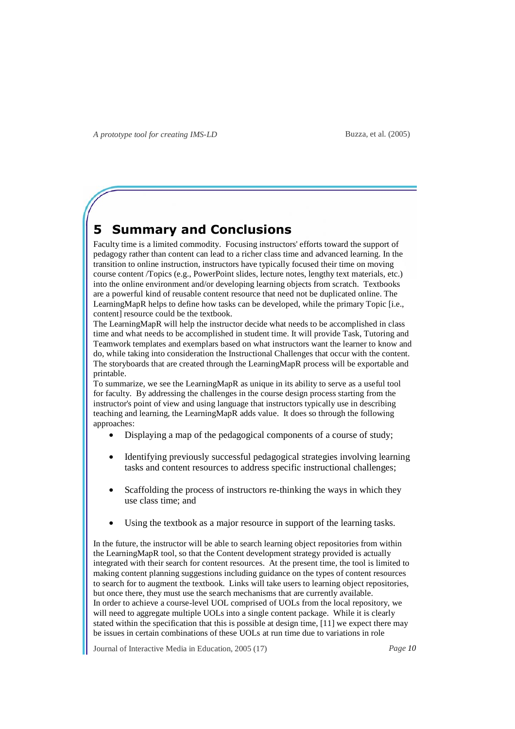# **5 Summary and Conclusions**

Faculty time is a limited commodity. Focusing instructors' efforts toward the support of pedagogy rather than content can lead to a richer class time and advanced learning. In the transition to online instruction, instructors have typically focused their time on moving course content /Topics (e.g., PowerPoint slides, lecture notes, lengthy text materials, etc.) into the online environment and/or developing learning objects from scratch. Textbooks are a powerful kind of reusable content resource that need not be duplicated online. The LearningMapR helps to define how tasks can be developed, while the primary Topic [i.e., content] resource could be the textbook.

The LearningMapR will help the instructor decide what needs to be accomplished in class time and what needs to be accomplished in student time. It will provide Task, Tutoring and Teamwork templates and exemplars based on what instructors want the learner to know and do, while taking into consideration the Instructional Challenges that occur with the content. The storyboards that are created through the LearningMapR process will be exportable and printable.

To summarize, we see the LearningMapR as unique in its ability to serve as a useful tool for faculty. By addressing the challenges in the course design process starting from the instructor's point of view and using language that instructors typically use in describing teaching and learning, the LearningMapR adds value. It does so through the following approaches:

- Displaying a map of the pedagogical components of a course of study;
- Identifying previously successful pedagogical strategies involving learning tasks and content resources to address specific instructional challenges;
- Scaffolding the process of instructors re-thinking the ways in which they use class time; and
- Using the textbook as a major resource in support of the learning tasks.

In the future, the instructor will be able to search learning object repositories from within the LearningMapR tool, so that the Content development strategy provided is actually integrated with their search for content resources. At the present time, the tool is limited to making content planning suggestions including guidance on the types of content resources to search for to augment the textbook. Links will take users to learning object repositories, but once there, they must use the search mechanisms that are currently available. In order to achieve a course-level UOL comprised of UOLs from the local repository, we will need to aggregate multiple UOLs into a single content package. While it is clearly stated within the specification that this is possible at design time, [11] we expect there may be issues in certain combinations of these UOLs at run time due to variations in role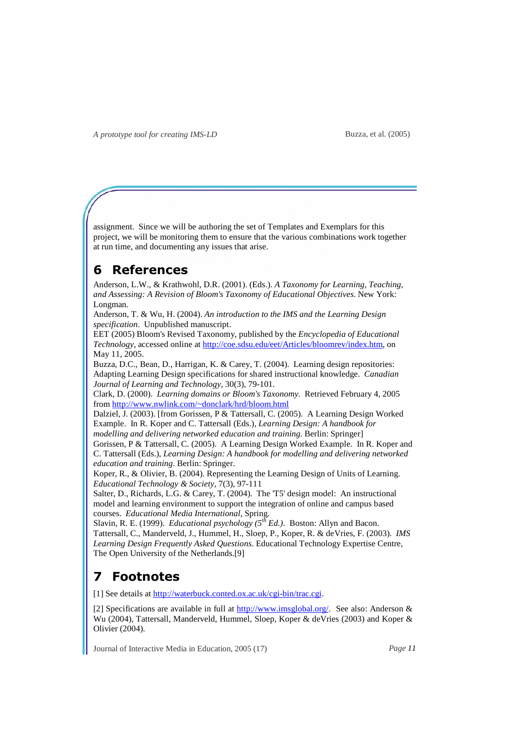assignment. Since we will be authoring the set of Templates and Exemplars for this project, we will be monitoring them to ensure that the various combinations work together at run time, and documenting any issues that arise.

# **6 References**

Anderson, L.W., & Krathwohl, D.R. (2001). (Eds.). *A Taxonomy for Learning, Teaching, and Assessing: A Revision of Bloom's Taxonomy of Educational Objectives*. New York: Longman.

Anderson, T. & Wu, H. (2004). *An introduction to the IMS and the Learning Design specification*. Unpublished manuscript.

EET (2005) Bloom's Revised Taxonomy, published by the *Encyclopedia of Educational Technology*, accessed online at http://coe.sdsu.edu/eet/Articles/bloomrev/index.htm, on May 11, 2005.

Buzza, D.C., Bean, D., Harrigan, K. & Carey, T. (2004). Learning design repositories: Adapting Learning Design specifications for shared instructional knowledge. *Canadian Journal of Learning and Technology*, 30(3), 79-101.

Clark, D. (2000). *Learning domains or Bloom's Taxonomy.* Retrieved February 4, 2005 from http://www.nwlink.com/~donclark/hrd/bloom.html

Dalziel, J. (2003). [from Gorissen, P & Tattersall, C. (2005). A Learning Design Worked Example. In R. Koper and C. Tattersall (Eds.), *Learning Design: A handbook for modelling and delivering networked education and training.* Berlin: Springer]

Gorissen, P & Tattersall, C. (2005). A Learning Design Worked Example. In R. Koper and C. Tattersall (Eds.), *Learning Design: A handbook for modelling and delivering networked education and training*. Berlin: Springer.

Koper, R., & Olivier, B. (2004). Representing the Learning Design of Units of Learning. *Educational Technology & Society*, 7(3), 97-111

Salter, D., Richards, L.G. & Carey, T. (2004). The 'T5' design model: An instructional model and learning environment to support the integration of online and campus based courses. *Educational Media International*, Spring.

Slavin, R. E. (1999). *Educational psychology (5th Ed.)*. Boston: Allyn and Bacon. Tattersall, C., Manderveld, J., Hummel, H., Sloep, P., Koper, R. & deVries, F. (2003). *IMS Learning Design Frequently Asked Questions*. Educational Technology Expertise Centre, The Open University of the Netherlands.[9]

# **7 Footnotes**

[1] See details at http://waterbuck.conted.ox.ac.uk/cgi-bin/trac.cgi.

[2] Specifications are available in full at http://www.imsglobal.org/. See also: Anderson & Wu (2004), Tattersall, Manderveld, Hummel, Sloep, Koper & deVries (2003) and Koper & Olivier (2004).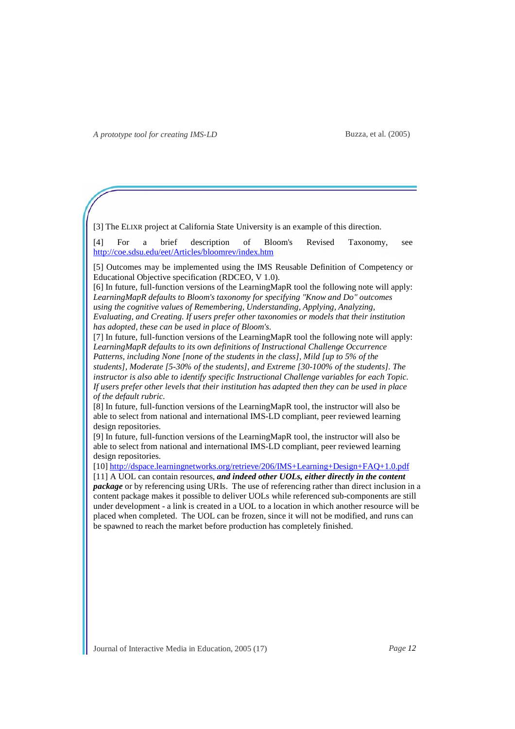[3] The ELIXR project at California State University is an example of this direction.

[4] For a brief description of Bloom's Revised Taxonomy, see http://coe.sdsu.edu/eet/Articles/bloomrev/index.htm

[5] Outcomes may be implemented using the IMS Reusable Definition of Competency or Educational Objective specification (RDCEO, V 1.0).

[6] In future, full-function versions of the LearningMapR tool the following note will apply: *LearningMapR defaults to Bloom's taxonomy for specifying "Know and Do" outcomes using the cognitive values of Remembering, Understanding, Applying, Analyzing, Evaluating, and Creating. If users prefer other taxonomies or models that their institution has adopted, these can be used in place of Bloom's*.

[7] In future, full-function versions of the LearningMapR tool the following note will apply: *LearningMapR defaults to its own definitions of Instructional Challenge Occurrence* 

*Patterns, including None [none of the students in the class], Mild [up to 5% of the students], Moderate [5-30% of the students], and Extreme [30-100% of the students]. The instructor is also able to identify specific Instructional Challenge variables for each Topic. If users prefer other levels that their institution has adapted then they can be used in place of the default rubric.* 

[8] In future, full-function versions of the LearningMapR tool, the instructor will also be able to select from national and international IMS-LD compliant, peer reviewed learning design repositories.

[9] In future, full-function versions of the LearningMapR tool, the instructor will also be able to select from national and international IMS-LD compliant, peer reviewed learning design repositories.

[10] http://dspace.learningnetworks.org/retrieve/206/IMS+Learning+Design+FAQ+1.0.pdf

[11] A UOL can contain resources, *and indeed other UOLs, either directly in the content package* or by referencing using URIs. The use of referencing rather than direct inclusion in a content package makes it possible to deliver UOLs while referenced sub-components are still under development - a link is created in a UOL to a location in which another resource will be placed when completed. The UOL can be frozen, since it will not be modified, and runs can be spawned to reach the market before production has completely finished.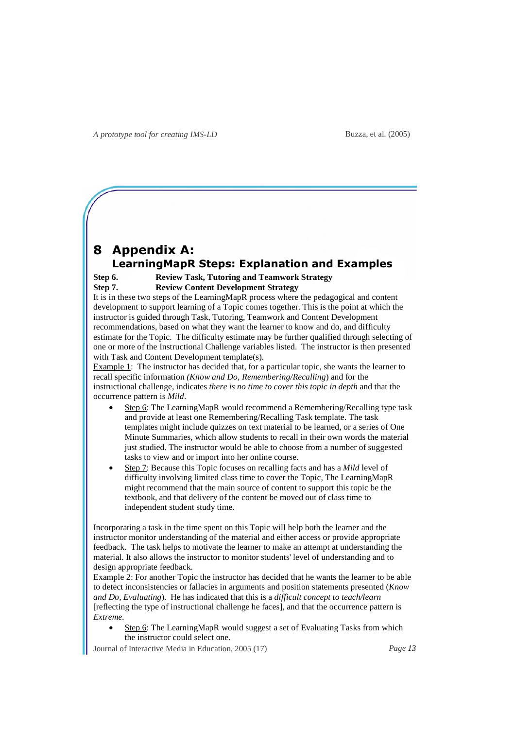### **8 Appendix A: LearningMapR Steps: Explanation and Examples**

#### **Step 6. Review Task, Tutoring and Teamwork Strategy Step 7. Review Content Development Strategy**

It is in these two steps of the LearningMapR process where the pedagogical and content development to support learning of a Topic comes together. This is the point at which the instructor is guided through Task, Tutoring, Teamwork and Content Development recommendations, based on what they want the learner to know and do, and difficulty estimate for the Topic. The difficulty estimate may be further qualified through selecting of one or more of the Instructional Challenge variables listed. The instructor is then presented with Task and Content Development template(s).

Example 1: The instructor has decided that, for a particular topic, she wants the learner to recall specific information *(Know and Do, Remembering/Recalling*) and for the instructional challenge, indicates *there is no time to cover this topic in depth* and that the occurrence pattern is *Mild*.

- Step 6: The LearningMapR would recommend a Remembering/Recalling type task and provide at least one Remembering/Recalling Task template. The task templates might include quizzes on text material to be learned, or a series of One Minute Summaries, which allow students to recall in their own words the material just studied. The instructor would be able to choose from a number of suggested tasks to view and or import into her online course.
- Step 7: Because this Topic focuses on recalling facts and has a *Mild* level of difficulty involving limited class time to cover the Topic, The LearningMapR might recommend that the main source of content to support this topic be the textbook, and that delivery of the content be moved out of class time to independent student study time.

Incorporating a task in the time spent on this Topic will help both the learner and the instructor monitor understanding of the material and either access or provide appropriate feedback. The task helps to motivate the learner to make an attempt at understanding the material. It also allows the instructor to monitor students' level of understanding and to design appropriate feedback.

Example 2: For another Topic the instructor has decided that he wants the learner to be able to detect inconsistencies or fallacies in arguments and position statements presented (*Know and Do, Evaluating*). He has indicated that this is a *difficult concept to teach/learn* [reflecting the type of instructional challenge he faces], and that the occurrence pattern is *Extreme.*

Step 6: The LearningMapR would suggest a set of Evaluating Tasks from which the instructor could select one.